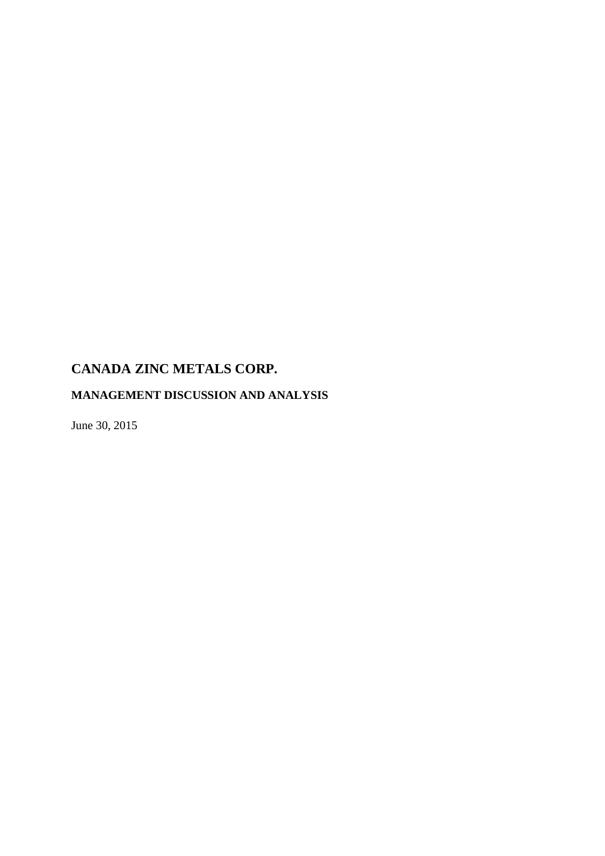# **MANAGEMENT DISCUSSION AND ANALYSIS**

June 30, 2015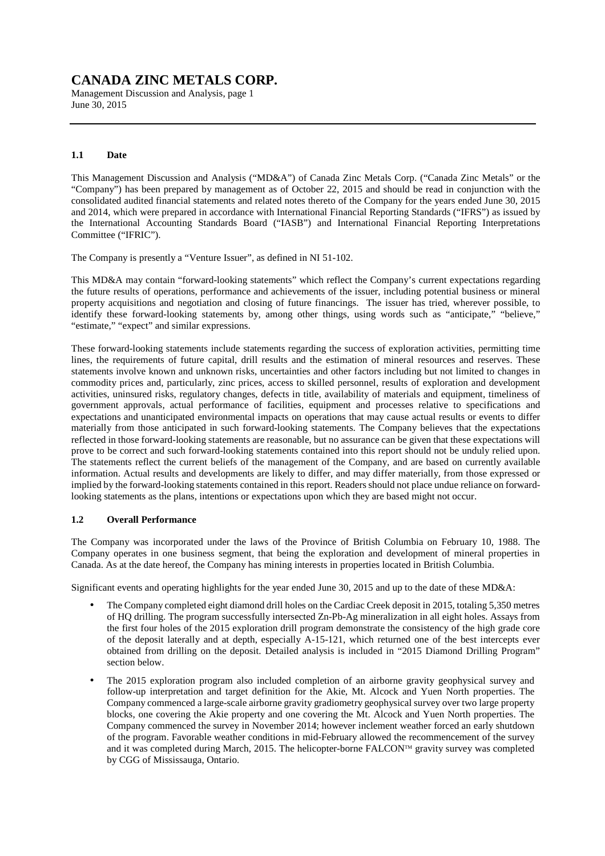Management Discussion and Analysis, page 1 June 30, 2015

### **1.1 Date**

This Management Discussion and Analysis ("MD&A") of Canada Zinc Metals Corp. ("Canada Zinc Metals" or the "Company") has been prepared by management as of October 22, 2015 and should be read in conjunction with the consolidated audited financial statements and related notes thereto of the Company for the years ended June 30, 2015 and 2014, which were prepared in accordance with International Financial Reporting Standards ("IFRS") as issued by the International Accounting Standards Board ("IASB") and International Financial Reporting Interpretations Committee ("IFRIC").

The Company is presently a "Venture Issuer", as defined in NI 51-102.

This MD&A may contain "forward-looking statements" which reflect the Company's current expectations regarding the future results of operations, performance and achievements of the issuer, including potential business or mineral property acquisitions and negotiation and closing of future financings. The issuer has tried, wherever possible, to identify these forward-looking statements by, among other things, using words such as "anticipate," "believe," "estimate," "expect" and similar expressions.

These forward-looking statements include statements regarding the success of exploration activities, permitting time lines, the requirements of future capital, drill results and the estimation of mineral resources and reserves. These statements involve known and unknown risks, uncertainties and other factors including but not limited to changes in commodity prices and, particularly, zinc prices, access to skilled personnel, results of exploration and development activities, uninsured risks, regulatory changes, defects in title, availability of materials and equipment, timeliness of government approvals, actual performance of facilities, equipment and processes relative to specifications and expectations and unanticipated environmental impacts on operations that may cause actual results or events to differ materially from those anticipated in such forward-looking statements. The Company believes that the expectations reflected in those forward-looking statements are reasonable, but no assurance can be given that these expectations will prove to be correct and such forward-looking statements contained into this report should not be unduly relied upon. The statements reflect the current beliefs of the management of the Company, and are based on currently available information. Actual results and developments are likely to differ, and may differ materially, from those expressed or implied by the forward-looking statements contained in this report. Readers should not place undue reliance on forwardlooking statements as the plans, intentions or expectations upon which they are based might not occur.

### **1.2 Overall Performance**

The Company was incorporated under the laws of the Province of British Columbia on February 10, 1988. The Company operates in one business segment, that being the exploration and development of mineral properties in Canada. As at the date hereof, the Company has mining interests in properties located in British Columbia.

Significant events and operating highlights for the year ended June 30, 2015 and up to the date of these MD&A:

- The Company completed eight diamond drill holes on the Cardiac Creek deposit in 2015, totaling 5,350 metres of HQ drilling. The program successfully intersected Zn-Pb-Ag mineralization in all eight holes. Assays from the first four holes of the 2015 exploration drill program demonstrate the consistency of the high grade core of the deposit laterally and at depth, especially A-15-121, which returned one of the best intercepts ever obtained from drilling on the deposit. Detailed analysis is included in "2015 Diamond Drilling Program" section below.
- The 2015 exploration program also included completion of an airborne gravity geophysical survey and follow-up interpretation and target definition for the Akie, Mt. Alcock and Yuen North properties. The Company commenced a large-scale airborne gravity gradiometry geophysical survey over two large property blocks, one covering the Akie property and one covering the Mt. Alcock and Yuen North properties. The Company commenced the survey in November 2014; however inclement weather forced an early shutdown of the program. Favorable weather conditions in mid-February allowed the recommencement of the survey and it was completed during March, 2015. The helicopter-borne FALCON<sup>™</sup> gravity survey was completed by CGG of Mississauga, Ontario.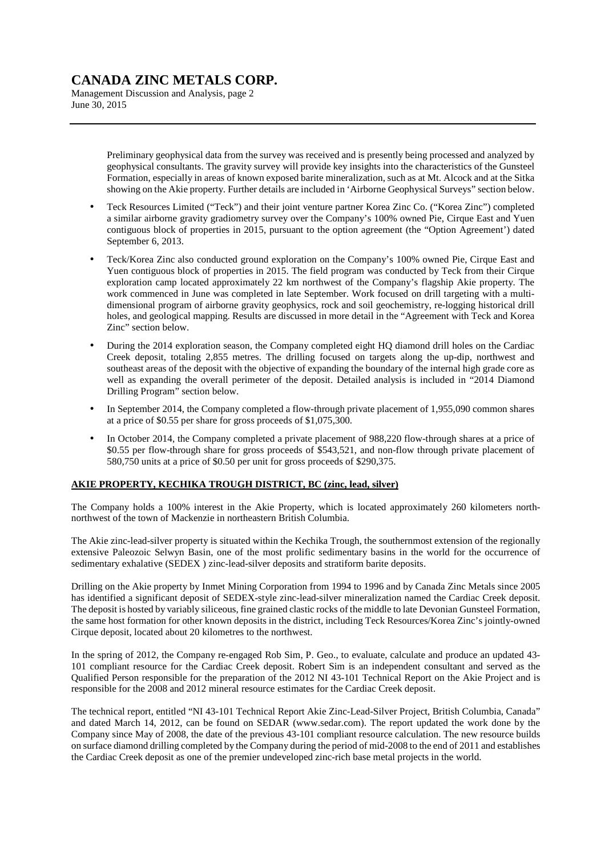Management Discussion and Analysis, page 2 June 30, 2015

> Preliminary geophysical data from the survey was received and is presently being processed and analyzed by geophysical consultants. The gravity survey will provide key insights into the characteristics of the Gunsteel Formation, especially in areas of known exposed barite mineralization, such as at Mt. Alcock and at the Sitka showing on the Akie property. Further details are included in 'Airborne Geophysical Surveys" section below.

- Teck Resources Limited ("Teck") and their joint venture partner Korea Zinc Co. ("Korea Zinc") completed a similar airborne gravity gradiometry survey over the Company's 100% owned Pie, Cirque East and Yuen contiguous block of properties in 2015, pursuant to the option agreement (the "Option Agreement') dated September 6, 2013.
- Teck/Korea Zinc also conducted ground exploration on the Company's 100% owned Pie, Cirque East and Yuen contiguous block of properties in 2015. The field program was conducted by Teck from their Cirque exploration camp located approximately 22 km northwest of the Company's flagship Akie property. The work commenced in June was completed in late September. Work focused on drill targeting with a multidimensional program of airborne gravity geophysics, rock and soil geochemistry, re-logging historical drill holes, and geological mapping. Results are discussed in more detail in the "Agreement with Teck and Korea Zinc" section below.
- During the 2014 exploration season, the Company completed eight HQ diamond drill holes on the Cardiac Creek deposit, totaling 2,855 metres. The drilling focused on targets along the up-dip, northwest and southeast areas of the deposit with the objective of expanding the boundary of the internal high grade core as well as expanding the overall perimeter of the deposit. Detailed analysis is included in "2014 Diamond Drilling Program" section below.
- In September 2014, the Company completed a flow-through private placement of 1,955,090 common shares at a price of \$0.55 per share for gross proceeds of \$1,075,300.
- In October 2014, the Company completed a private placement of 988,220 flow-through shares at a price of \$0.55 per flow-through share for gross proceeds of \$543,521, and non-flow through private placement of 580,750 units at a price of \$0.50 per unit for gross proceeds of \$290,375.

### **AKIE PROPERTY, KECHIKA TROUGH DISTRICT, BC (zinc, lead, silver)**

The Company holds a 100% interest in the Akie Property, which is located approximately 260 kilometers northnorthwest of the town of Mackenzie in northeastern British Columbia.

The Akie zinc-lead-silver property is situated within the Kechika Trough, the southernmost extension of the regionally extensive Paleozoic Selwyn Basin, one of the most prolific sedimentary basins in the world for the occurrence of sedimentary exhalative (SEDEX ) zinc-lead-silver deposits and stratiform barite deposits.

Drilling on the Akie property by Inmet Mining Corporation from 1994 to 1996 and by Canada Zinc Metals since 2005 has identified a significant deposit of SEDEX-style zinc-lead-silver mineralization named the Cardiac Creek deposit. The deposit is hosted by variably siliceous, fine grained clastic rocks of the middle to late Devonian Gunsteel Formation, the same host formation for other known deposits in the district, including Teck Resources/Korea Zinc's jointly-owned Cirque deposit, located about 20 kilometres to the northwest.

In the spring of 2012, the Company re-engaged Rob Sim, P. Geo., to evaluate, calculate and produce an updated 43-101 compliant resource for the Cardiac Creek deposit. Robert Sim is an independent consultant and served as the Qualified Person responsible for the preparation of the 2012 NI 43-101 Technical Report on the Akie Project and is responsible for the 2008 and 2012 mineral resource estimates for the Cardiac Creek deposit.

The technical report, entitled "NI 43-101 Technical Report Akie Zinc-Lead-Silver Project, British Columbia, Canada" and dated March 14, 2012, can be found on SEDAR (www.sedar.com). The report updated the work done by the Company since May of 2008, the date of the previous 43-101 compliant resource calculation. The new resource builds on surface diamond drilling completed by the Company during the period of mid-2008 to the end of 2011 and establishes the Cardiac Creek deposit as one of the premier undeveloped zinc-rich base metal projects in the world.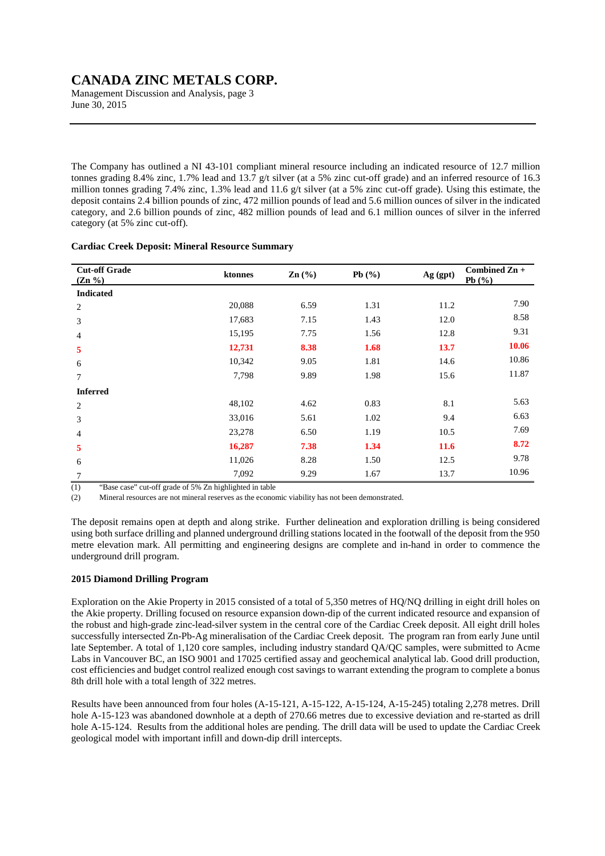Management Discussion and Analysis, page 3 June 30, 2015

The Company has outlined a NI 43-101 compliant mineral resource including an indicated resource of 12.7 million tonnes grading 8.4% zinc, 1.7% lead and 13.7 g/t silver (at a 5% zinc cut-off grade) and an inferred resource of 16.3 million tonnes grading 7.4% zinc, 1.3% lead and 11.6 g/t silver (at a 5% zinc cut-off grade). Using this estimate, the deposit contains 2.4 billion pounds of zinc, 472 million pounds of lead and 5.6 million ounces of silver in the indicated category, and 2.6 billion pounds of zinc, 482 million pounds of lead and 6.1 million ounces of silver in the inferred category (at 5% zinc cut-off).

| <b>Cut-off Grade</b><br>$(Zn\% )$ | ktonnes | $\text{Zn}(\%)$ | Pb $(\% )$ | Ag (gpt)    | Combined $\mathbb{Z}n +$<br>Pb $(%$ |
|-----------------------------------|---------|-----------------|------------|-------------|-------------------------------------|
| <b>Indicated</b>                  |         |                 |            |             |                                     |
| $\overline{c}$                    | 20,088  | 6.59            | 1.31       | 11.2        | 7.90                                |
| 3                                 | 17,683  | 7.15            | 1.43       | 12.0        | 8.58                                |
| 4                                 | 15,195  | 7.75            | 1.56       | 12.8        | 9.31                                |
| 5                                 | 12,731  | 8.38            | 1.68       | 13.7        | 10.06                               |
| 6                                 | 10,342  | 9.05            | 1.81       | 14.6        | 10.86                               |
| $\tau$                            | 7,798   | 9.89            | 1.98       | 15.6        | 11.87                               |
| <b>Inferred</b>                   |         |                 |            |             |                                     |
| 2                                 | 48,102  | 4.62            | 0.83       | 8.1         | 5.63                                |
| 3                                 | 33,016  | 5.61            | 1.02       | 9.4         | 6.63                                |
| 4                                 | 23,278  | 6.50            | 1.19       | 10.5        | 7.69                                |
| 5                                 | 16,287  | 7.38            | 1.34       | <b>11.6</b> | 8.72                                |
| 6                                 | 11,026  | 8.28            | 1.50       | 12.5        | 9.78                                |
| 7                                 | 7,092   | 9.29            | 1.67       | 13.7        | 10.96                               |

### **Cardiac Creek Deposit: Mineral Resource Summary**

(1) "Base case" cut-off grade of 5% Zn highlighted in table

(2) Mineral resources are not mineral reserves as the economic viability has not been demonstrated.

The deposit remains open at depth and along strike. Further delineation and exploration drilling is being considered using both surface drilling and planned underground drilling stations located in the footwall of the deposit from the 950 metre elevation mark. All permitting and engineering designs are complete and in-hand in order to commence the underground drill program.

### **2015 Diamond Drilling Program**

Exploration on the Akie Property in 2015 consisted of a total of 5,350 metres of HQ/NQ drilling in eight drill holes on the Akie property. Drilling focused on resource expansion down-dip of the current indicated resource and expansion of the robust and high-grade zinc-lead-silver system in the central core of the Cardiac Creek deposit. All eight drill holes successfully intersected Zn-Pb-Ag mineralisation of the Cardiac Creek deposit. The program ran from early June until late September. A total of 1,120 core samples, including industry standard QA/QC samples, were submitted to Acme Labs in Vancouver BC, an ISO 9001 and 17025 certified assay and geochemical analytical lab. Good drill production, cost efficiencies and budget control realized enough cost savings to warrant extending the program to complete a bonus 8th drill hole with a total length of 322 metres.

Results have been announced from four holes (A-15-121, A-15-122, A-15-124, A-15-245) totaling 2,278 metres. Drill hole A-15-123 was abandoned downhole at a depth of 270.66 metres due to excessive deviation and re-started as drill hole A-15-124. Results from the additional holes are pending. The drill data will be used to update the Cardiac Creek geological model with important infill and down-dip drill intercepts.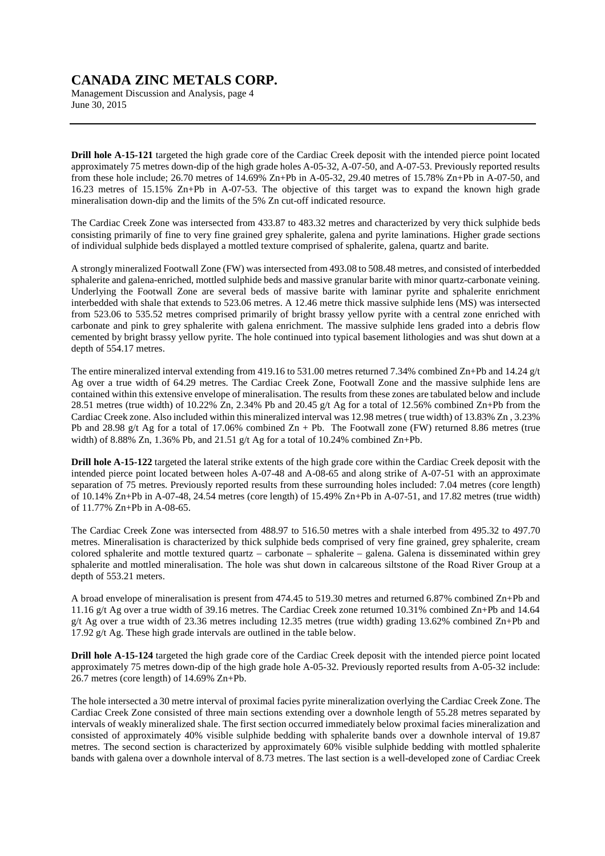Management Discussion and Analysis, page 4 June 30, 2015

**Drill hole A-15-121** targeted the high grade core of the Cardiac Creek deposit with the intended pierce point located approximately 75 metres down-dip of the high grade holes A-05-32, A-07-50, and A-07-53. Previously reported results from these hole include; 26.70 metres of 14.69% Zn+Pb in A-05-32, 29.40 metres of 15.78% Zn+Pb in A-07-50, and 16.23 metres of 15.15% Zn+Pb in A-07-53. The objective of this target was to expand the known high grade mineralisation down-dip and the limits of the 5% Zn cut-off indicated resource.

The Cardiac Creek Zone was intersected from 433.87 to 483.32 metres and characterized by very thick sulphide beds consisting primarily of fine to very fine grained grey sphalerite, galena and pyrite laminations. Higher grade sections of individual sulphide beds displayed a mottled texture comprised of sphalerite, galena, quartz and barite.

A strongly mineralized Footwall Zone (FW) was intersected from 493.08 to 508.48 metres, and consisted of interbedded sphalerite and galena-enriched, mottled sulphide beds and massive granular barite with minor quartz-carbonate veining. Underlying the Footwall Zone are several beds of massive barite with laminar pyrite and sphalerite enrichment interbedded with shale that extends to 523.06 metres. A 12.46 metre thick massive sulphide lens (MS) was intersected from 523.06 to 535.52 metres comprised primarily of bright brassy yellow pyrite with a central zone enriched with carbonate and pink to grey sphalerite with galena enrichment. The massive sulphide lens graded into a debris flow cemented by bright brassy yellow pyrite. The hole continued into typical basement lithologies and was shut down at a depth of 554.17 metres.

The entire mineralized interval extending from 419.16 to 531.00 metres returned 7.34% combined Zn+Pb and 14.24 g/t Ag over a true width of 64.29 metres. The Cardiac Creek Zone, Footwall Zone and the massive sulphide lens are contained within this extensive envelope of mineralisation. The results from these zones are tabulated below and include 28.51 metres (true width) of 10.22% Zn, 2.34% Pb and 20.45 g/t Ag for a total of 12.56% combined Zn+Pb from the Cardiac Creek zone. Also included within this mineralized interval was 12.98 metres ( true width) of 13.83% Zn , 3.23% Pb and 28.98 g/t Ag for a total of 17.06% combined Zn + Pb. The Footwall zone (FW) returned 8.86 metres (true width) of 8.88% Zn, 1.36% Pb, and 21.51 g/t Ag for a total of 10.24% combined Zn+Pb.

**Drill hole A-15-122** targeted the lateral strike extents of the high grade core within the Cardiac Creek deposit with the intended pierce point located between holes A-07-48 and A-08-65 and along strike of A-07-51 with an approximate separation of 75 metres. Previously reported results from these surrounding holes included: 7.04 metres (core length) of 10.14% Zn+Pb in A-07-48, 24.54 metres (core length) of 15.49% Zn+Pb in A-07-51, and 17.82 metres (true width) of 11.77% Zn+Pb in A-08-65.

The Cardiac Creek Zone was intersected from 488.97 to 516.50 metres with a shale interbed from 495.32 to 497.70 metres. Mineralisation is characterized by thick sulphide beds comprised of very fine grained, grey sphalerite, cream colored sphalerite and mottle textured quartz – carbonate – sphalerite – galena. Galena is disseminated within grey sphalerite and mottled mineralisation. The hole was shut down in calcareous siltstone of the Road River Group at a depth of 553.21 meters.

A broad envelope of mineralisation is present from 474.45 to 519.30 metres and returned 6.87% combined Zn+Pb and 11.16 g/t Ag over a true width of 39.16 metres. The Cardiac Creek zone returned 10.31% combined Zn+Pb and 14.64 g/t Ag over a true width of 23.36 metres including 12.35 metres (true width) grading 13.62% combined  $\mathbb{Z}_{n+}$ Pb and 17.92 g/t Ag. These high grade intervals are outlined in the table below.

**Drill hole A-15-124** targeted the high grade core of the Cardiac Creek deposit with the intended pierce point located approximately 75 metres down-dip of the high grade hole A-05-32. Previously reported results from A-05-32 include: 26.7 metres (core length) of 14.69% Zn+Pb.

The hole intersected a 30 metre interval of proximal facies pyrite mineralization overlying the Cardiac Creek Zone. The Cardiac Creek Zone consisted of three main sections extending over a downhole length of 55.28 metres separated by intervals of weakly mineralized shale. The first section occurred immediately below proximal facies mineralization and consisted of approximately 40% visible sulphide bedding with sphalerite bands over a downhole interval of 19.87 metres. The second section is characterized by approximately 60% visible sulphide bedding with mottled sphalerite bands with galena over a downhole interval of 8.73 metres. The last section is a well-developed zone of Cardiac Creek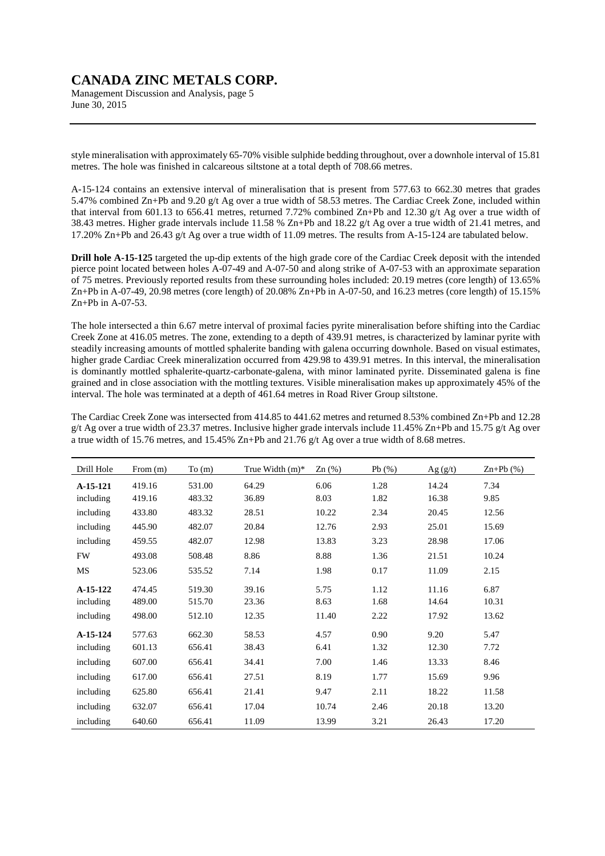Management Discussion and Analysis, page 5 June 30, 2015

style mineralisation with approximately 65-70% visible sulphide bedding throughout, over a downhole interval of 15.81 metres. The hole was finished in calcareous siltstone at a total depth of 708.66 metres.

A-15-124 contains an extensive interval of mineralisation that is present from 577.63 to 662.30 metres that grades 5.47% combined Zn+Pb and 9.20 g/t Ag over a true width of 58.53 metres. The Cardiac Creek Zone, included within that interval from 601.13 to 656.41 metres, returned 7.72% combined Zn+Pb and 12.30  $g/t$  Ag over a true width of 38.43 metres. Higher grade intervals include 11.58 % Zn+Pb and 18.22 g/t Ag over a true width of 21.41 metres, and 17.20% Zn+Pb and 26.43 g/t Ag over a true width of 11.09 metres. The results from A-15-124 are tabulated below.

**Drill hole A-15-125** targeted the up-dip extents of the high grade core of the Cardiac Creek deposit with the intended pierce point located between holes A-07-49 and A-07-50 and along strike of A-07-53 with an approximate separation of 75 metres. Previously reported results from these surrounding holes included: 20.19 metres (core length) of 13.65% Zn+Pb in A-07-49, 20.98 metres (core length) of 20.08% Zn+Pb in A-07-50, and 16.23 metres (core length) of 15.15% Zn+Pb in A-07-53.

The hole intersected a thin 6.67 metre interval of proximal facies pyrite mineralisation before shifting into the Cardiac Creek Zone at 416.05 metres. The zone, extending to a depth of 439.91 metres, is characterized by laminar pyrite with steadily increasing amounts of mottled sphalerite banding with galena occurring downhole. Based on visual estimates, higher grade Cardiac Creek mineralization occurred from 429.98 to 439.91 metres. In this interval, the mineralisation is dominantly mottled sphalerite-quartz-carbonate-galena, with minor laminated pyrite. Disseminated galena is fine grained and in close association with the mottling textures. Visible mineralisation makes up approximately 45% of the interval. The hole was terminated at a depth of 461.64 metres in Road River Group siltstone.

The Cardiac Creek Zone was intersected from 414.85 to 441.62 metres and returned 8.53% combined Zn+Pb and 12.28 g/t Ag over a true width of 23.37 metres. Inclusive higher grade intervals include 11.45% Zn+Pb and 15.75 g/t Ag over a true width of 15.76 metres, and 15.45% Zn+Pb and 21.76 g/t Ag over a true width of 8.68 metres.

| Drill Hole | From $(m)$ | To(m)  | True Width $(m)^*$ | $Zn$ (%) | Pb(%) | Ag(g/t) | $Zn+Pb$ $(\% )$ |
|------------|------------|--------|--------------------|----------|-------|---------|-----------------|
| A-15-121   | 419.16     | 531.00 | 64.29              | 6.06     | 1.28  | 14.24   | 7.34            |
| including  | 419.16     | 483.32 | 36.89              | 8.03     | 1.82  | 16.38   | 9.85            |
| including  | 433.80     | 483.32 | 28.51              | 10.22    | 2.34  | 20.45   | 12.56           |
| including  | 445.90     | 482.07 | 20.84              | 12.76    | 2.93  | 25.01   | 15.69           |
| including  | 459.55     | 482.07 | 12.98              | 13.83    | 3.23  | 28.98   | 17.06           |
| <b>FW</b>  | 493.08     | 508.48 | 8.86               | 8.88     | 1.36  | 21.51   | 10.24           |
| MS         | 523.06     | 535.52 | 7.14               | 1.98     | 0.17  | 11.09   | 2.15            |
| $A-15-122$ | 474.45     | 519.30 | 39.16              | 5.75     | 1.12  | 11.16   | 6.87            |
| including  | 489.00     | 515.70 | 23.36              | 8.63     | 1.68  | 14.64   | 10.31           |
| including  | 498.00     | 512.10 | 12.35              | 11.40    | 2.22  | 17.92   | 13.62           |
| A-15-124   | 577.63     | 662.30 | 58.53              | 4.57     | 0.90  | 9.20    | 5.47            |
| including  | 601.13     | 656.41 | 38.43              | 6.41     | 1.32  | 12.30   | 7.72            |
| including  | 607.00     | 656.41 | 34.41              | 7.00     | 1.46  | 13.33   | 8.46            |
| including  | 617.00     | 656.41 | 27.51              | 8.19     | 1.77  | 15.69   | 9.96            |
| including  | 625.80     | 656.41 | 21.41              | 9.47     | 2.11  | 18.22   | 11.58           |
| including  | 632.07     | 656.41 | 17.04              | 10.74    | 2.46  | 20.18   | 13.20           |
| including  | 640.60     | 656.41 | 11.09              | 13.99    | 3.21  | 26.43   | 17.20           |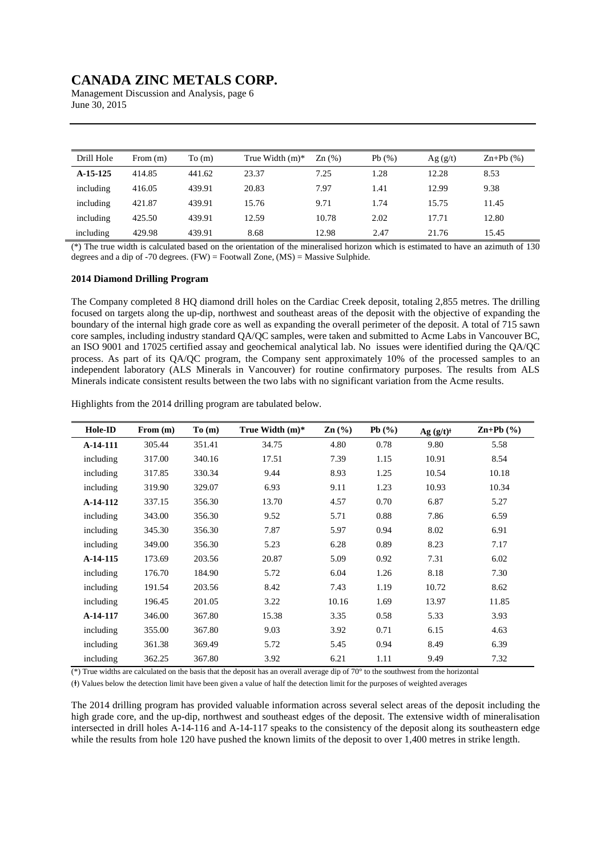Management Discussion and Analysis, page 6 June 30, 2015

| Drill Hole | From $(m)$ | To(m)  | True Width $(m)^*$ | $\text{Zn}$ $\left(\frac{9}{6}\right)$ | Pb(%) | Ag(g/t) | $Zn+Pb(%)$ |
|------------|------------|--------|--------------------|----------------------------------------|-------|---------|------------|
| $A-15-125$ | 414.85     | 441.62 | 23.37              | 7.25                                   | 1.28  | 12.28   | 8.53       |
| including  | 416.05     | 439.91 | 20.83              | 7.97                                   | 1.41  | 12.99   | 9.38       |
| including  | 421.87     | 439.91 | 15.76              | 9.71                                   | 1.74  | 15.75   | 11.45      |
| including  | 425.50     | 439.91 | 12.59              | 10.78                                  | 2.02  | 17.71   | 12.80      |
| including  | 429.98     | 439.91 | 8.68               | 12.98                                  | 2.47  | 21.76   | 15.45      |

(\*) The true width is calculated based on the orientation of the mineralised horizon which is estimated to have an azimuth of 130 degrees and a dip of -70 degrees.  $(FW)$  = Footwall Zone,  $(MS)$  = Massive Sulphide.

#### **2014 Diamond Drilling Program**

The Company completed 8 HQ diamond drill holes on the Cardiac Creek deposit, totaling 2,855 metres. The drilling focused on targets along the up-dip, northwest and southeast areas of the deposit with the objective of expanding the boundary of the internal high grade core as well as expanding the overall perimeter of the deposit. A total of 715 sawn core samples, including industry standard QA/QC samples, were taken and submitted to Acme Labs in Vancouver BC, an ISO 9001 and 17025 certified assay and geochemical analytical lab. No issues were identified during the QA/QC process. As part of its QA/QC program, the Company sent approximately 10% of the processed samples to an independent laboratory (ALS Minerals in Vancouver) for routine confirmatory purposes. The results from ALS Minerals indicate consistent results between the two labs with no significant variation from the Acme results.

|  |  | Highlights from the 2014 drilling program are tabulated below. |  |
|--|--|----------------------------------------------------------------|--|
|  |  |                                                                |  |

| Hole-ID   | From $(m)$ | To(m)  | True Width $(m)^*$ | $\mathbf{Zn}$ (%) | Pb $(\% )$ | $Ag (g/t)^{\dagger}$ | $\mathbf{Zn} + \mathbf{Pb}$ (%) |
|-----------|------------|--------|--------------------|-------------------|------------|----------------------|---------------------------------|
| A-14-111  | 305.44     | 351.41 | 34.75              | 4.80              | 0.78       | 9.80                 | 5.58                            |
| including | 317.00     | 340.16 | 17.51              | 7.39              | 1.15       | 10.91                | 8.54                            |
| including | 317.85     | 330.34 | 9.44               | 8.93              | 1.25       | 10.54                | 10.18                           |
| including | 319.90     | 329.07 | 6.93               | 9.11              | 1.23       | 10.93                | 10.34                           |
| A-14-112  | 337.15     | 356.30 | 13.70              | 4.57              | 0.70       | 6.87                 | 5.27                            |
| including | 343.00     | 356.30 | 9.52               | 5.71              | 0.88       | 7.86                 | 6.59                            |
| including | 345.30     | 356.30 | 7.87               | 5.97              | 0.94       | 8.02                 | 6.91                            |
| including | 349.00     | 356.30 | 5.23               | 6.28              | 0.89       | 8.23                 | 7.17                            |
| A-14-115  | 173.69     | 203.56 | 20.87              | 5.09              | 0.92       | 7.31                 | 6.02                            |
| including | 176.70     | 184.90 | 5.72               | 6.04              | 1.26       | 8.18                 | 7.30                            |
| including | 191.54     | 203.56 | 8.42               | 7.43              | 1.19       | 10.72                | 8.62                            |
| including | 196.45     | 201.05 | 3.22               | 10.16             | 1.69       | 13.97                | 11.85                           |
| A-14-117  | 346.00     | 367.80 | 15.38              | 3.35              | 0.58       | 5.33                 | 3.93                            |
| including | 355.00     | 367.80 | 9.03               | 3.92              | 0.71       | 6.15                 | 4.63                            |
| including | 361.38     | 369.49 | 5.72               | 5.45              | 0.94       | 8.49                 | 6.39                            |
| including | 362.25     | 367.80 | 3.92               | 6.21              | 1.11       | 9.49                 | 7.32                            |

(\*) True widths are calculated on the basis that the deposit has an overall average dip of 70 $^{\circ}$  to the southwest from the horizontal

(†) Values below the detection limit have been given a value of half the detection limit for the purposes of weighted averages

The 2014 drilling program has provided valuable information across several select areas of the deposit including the high grade core, and the up-dip, northwest and southeast edges of the deposit. The extensive width of mineralisation intersected in drill holes A-14-116 and A-14-117 speaks to the consistency of the deposit along its southeastern edge while the results from hole 120 have pushed the known limits of the deposit to over 1,400 metres in strike length.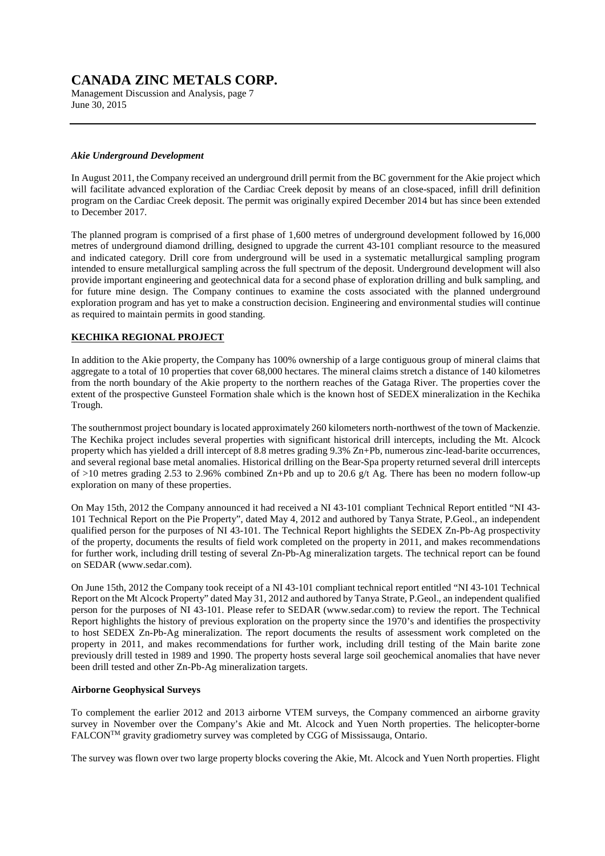Management Discussion and Analysis, page 7 June 30, 2015

### *Akie Underground Development*

In August 2011, the Company received an underground drill permit from the BC government for the Akie project which will facilitate advanced exploration of the Cardiac Creek deposit by means of an close-spaced, infill drill definition program on the Cardiac Creek deposit. The permit was originally expired December 2014 but has since been extended to December 2017.

The planned program is comprised of a first phase of 1,600 metres of underground development followed by 16,000 metres of underground diamond drilling, designed to upgrade the current 43-101 compliant resource to the measured and indicated category. Drill core from underground will be used in a systematic metallurgical sampling program intended to ensure metallurgical sampling across the full spectrum of the deposit. Underground development will also provide important engineering and geotechnical data for a second phase of exploration drilling and bulk sampling, and for future mine design. The Company continues to examine the costs associated with the planned underground exploration program and has yet to make a construction decision. Engineering and environmental studies will continue as required to maintain permits in good standing.

### **KECHIKA REGIONAL PROJECT**

In addition to the Akie property, the Company has 100% ownership of a large contiguous group of mineral claims that aggregate to a total of 10 properties that cover 68,000 hectares. The mineral claims stretch a distance of 140 kilometres from the north boundary of the Akie property to the northern reaches of the Gataga River. The properties cover the extent of the prospective Gunsteel Formation shale which is the known host of SEDEX mineralization in the Kechika Trough.

The southernmost project boundary is located approximately 260 kilometers north-northwest of the town of Mackenzie. The Kechika project includes several properties with significant historical drill intercepts, including the Mt. Alcock property which has yielded a drill intercept of 8.8 metres grading 9.3% Zn+Pb, numerous zinc-lead-barite occurrences, and several regional base metal anomalies. Historical drilling on the Bear-Spa property returned several drill intercepts of  $>10$  metres grading 2.53 to 2.96% combined Zn+Pb and up to 20.6 g/t Ag. There has been no modern follow-up exploration on many of these properties.

On May 15th, 2012 the Company announced it had received a NI 43-101 compliant Technical Report entitled "NI 43- 101 Technical Report on the Pie Property", dated May 4, 2012 and authored by Tanya Strate, P.Geol., an independent qualified person for the purposes of NI 43-101. The Technical Report highlights the SEDEX Zn-Pb-Ag prospectivity of the property, documents the results of field work completed on the property in 2011, and makes recommendations for further work, including drill testing of several Zn-Pb-Ag mineralization targets. The technical report can be found on SEDAR (www.sedar.com).

On June 15th, 2012 the Company took receipt of a NI 43-101 compliant technical report entitled "NI 43-101 Technical Report on the Mt Alcock Property" dated May 31, 2012 and authored by Tanya Strate, P.Geol., an independent qualified person for the purposes of NI 43-101. Please refer to SEDAR (www.sedar.com) to review the report. The Technical Report highlights the history of previous exploration on the property since the 1970's and identifies the prospectivity to host SEDEX Zn-Pb-Ag mineralization. The report documents the results of assessment work completed on the property in 2011, and makes recommendations for further work, including drill testing of the Main barite zone previously drill tested in 1989 and 1990. The property hosts several large soil geochemical anomalies that have never been drill tested and other Zn-Pb-Ag mineralization targets.

#### **Airborne Geophysical Surveys**

To complement the earlier 2012 and 2013 airborne VTEM surveys, the Company commenced an airborne gravity survey in November over the Company's Akie and Mt. Alcock and Yuen North properties. The helicopter-borne FALCONTM gravity gradiometry survey was completed by CGG of Mississauga, Ontario.

The survey was flown over two large property blocks covering the Akie, Mt. Alcock and Yuen North properties. Flight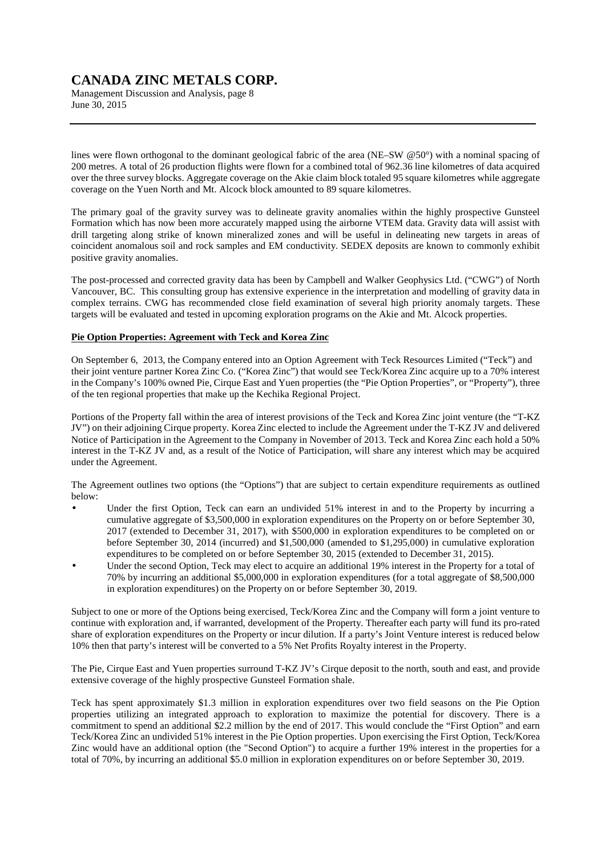Management Discussion and Analysis, page 8 June 30, 2015

lines were flown orthogonal to the dominant geological fabric of the area (NE–SW @50°) with a nominal spacing of 200 metres. A total of 26 production flights were flown for a combined total of 962.36 line kilometres of data acquired over the three survey blocks. Aggregate coverage on the Akie claim block totaled 95 square kilometres while aggregate coverage on the Yuen North and Mt. Alcock block amounted to 89 square kilometres.

The primary goal of the gravity survey was to delineate gravity anomalies within the highly prospective Gunsteel Formation which has now been more accurately mapped using the airborne VTEM data. Gravity data will assist with drill targeting along strike of known mineralized zones and will be useful in delineating new targets in areas of coincident anomalous soil and rock samples and EM conductivity. SEDEX deposits are known to commonly exhibit positive gravity anomalies.

The post-processed and corrected gravity data has been by Campbell and Walker Geophysics Ltd. ("CWG") of North Vancouver, BC. This consulting group has extensive experience in the interpretation and modelling of gravity data in complex terrains. CWG has recommended close field examination of several high priority anomaly targets. These targets will be evaluated and tested in upcoming exploration programs on the Akie and Mt. Alcock properties.

### **Pie Option Properties: Agreement with Teck and Korea Zinc**

On September 6, 2013, the Company entered into an Option Agreement with Teck Resources Limited ("Teck") and their joint venture partner Korea Zinc Co. ("Korea Zinc") that would see Teck/Korea Zinc acquire up to a 70% interest in the Company's 100% owned Pie, Cirque East and Yuen properties (the "Pie Option Properties", or "Property"), three of the ten regional properties that make up the Kechika Regional Project.

Portions of the Property fall within the area of interest provisions of the Teck and Korea Zinc joint venture (the "T-KZ JV") on their adjoining Cirque property. Korea Zinc elected to include the Agreement under the T-KZ JV and delivered Notice of Participation in the Agreement to the Company in November of 2013. Teck and Korea Zinc each hold a 50% interest in the T-KZ JV and, as a result of the Notice of Participation, will share any interest which may be acquired under the Agreement.

The Agreement outlines two options (the "Options") that are subject to certain expenditure requirements as outlined below:

- Under the first Option. Teck can earn an undivided 51% interest in and to the Property by incurring a cumulative aggregate of \$3,500,000 in exploration expenditures on the Property on or before September 30, 2017 (extended to December 31, 2017), with \$500,000 in exploration expenditures to be completed on or before September 30, 2014 (incurred) and \$1,500,000 (amended to \$1,295,000) in cumulative exploration expenditures to be completed on or before September 30, 2015 (extended to December 31, 2015).
- Under the second Option, Teck may elect to acquire an additional 19% interest in the Property for a total of 70% by incurring an additional \$5,000,000 in exploration expenditures (for a total aggregate of \$8,500,000 in exploration expenditures) on the Property on or before September 30, 2019.

Subject to one or more of the Options being exercised, Teck/Korea Zinc and the Company will form a joint venture to continue with exploration and, if warranted, development of the Property. Thereafter each party will fund its pro-rated share of exploration expenditures on the Property or incur dilution. If a party's Joint Venture interest is reduced below 10% then that party's interest will be converted to a 5% Net Profits Royalty interest in the Property.

The Pie, Cirque East and Yuen properties surround T-KZ JV's Cirque deposit to the north, south and east, and provide extensive coverage of the highly prospective Gunsteel Formation shale.

Teck has spent approximately \$1.3 million in exploration expenditures over two field seasons on the Pie Option properties utilizing an integrated approach to exploration to maximize the potential for discovery. There is a commitment to spend an additional \$2.2 million by the end of 2017. This would conclude the "First Option" and earn Teck/Korea Zinc an undivided 51% interest in the Pie Option properties. Upon exercising the First Option, Teck/Korea Zinc would have an additional option (the "Second Option") to acquire a further 19% interest in the properties for a total of 70%, by incurring an additional \$5.0 million in exploration expenditures on or before September 30, 2019.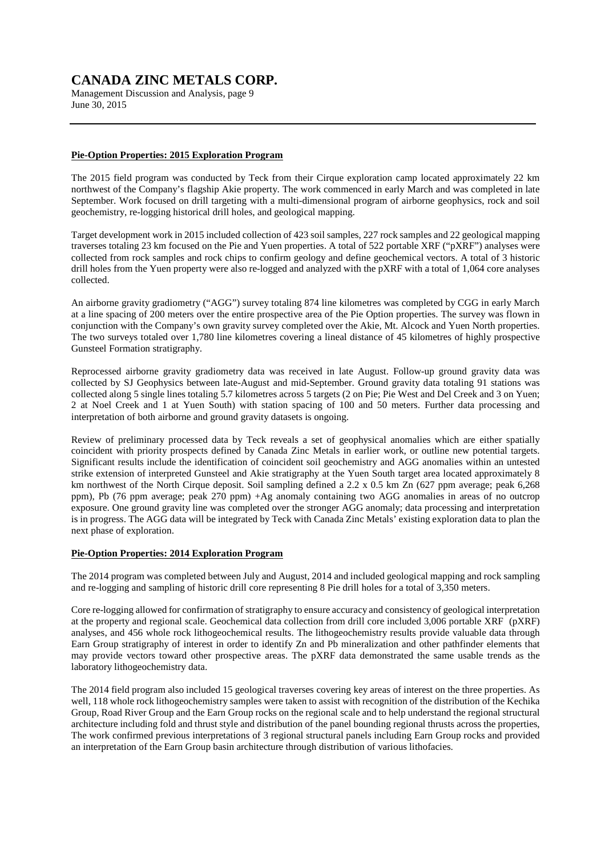Management Discussion and Analysis, page 9 June 30, 2015

### **Pie-Option Properties: 2015 Exploration Program**

The 2015 field program was conducted by Teck from their Cirque exploration camp located approximately 22 km northwest of the Company's flagship Akie property. The work commenced in early March and was completed in late September. Work focused on drill targeting with a multi-dimensional program of airborne geophysics, rock and soil geochemistry, re-logging historical drill holes, and geological mapping.

Target development work in 2015 included collection of 423 soil samples, 227 rock samples and 22 geological mapping traverses totaling 23 km focused on the Pie and Yuen properties. A total of 522 portable XRF ("pXRF") analyses were collected from rock samples and rock chips to confirm geology and define geochemical vectors. A total of 3 historic drill holes from the Yuen property were also re-logged and analyzed with the pXRF with a total of 1,064 core analyses collected.

An airborne gravity gradiometry ("AGG") survey totaling 874 line kilometres was completed by CGG in early March at a line spacing of 200 meters over the entire prospective area of the Pie Option properties. The survey was flown in conjunction with the Company's own gravity survey completed over the Akie, Mt. Alcock and Yuen North properties. The two surveys totaled over 1,780 line kilometres covering a lineal distance of 45 kilometres of highly prospective Gunsteel Formation stratigraphy.

Reprocessed airborne gravity gradiometry data was received in late August. Follow-up ground gravity data was collected by SJ Geophysics between late-August and mid-September. Ground gravity data totaling 91 stations was collected along 5 single lines totaling 5.7 kilometres across 5 targets (2 on Pie; Pie West and Del Creek and 3 on Yuen; 2 at Noel Creek and 1 at Yuen South) with station spacing of 100 and 50 meters. Further data processing and interpretation of both airborne and ground gravity datasets is ongoing.

Review of preliminary processed data by Teck reveals a set of geophysical anomalies which are either spatially coincident with priority prospects defined by Canada Zinc Metals in earlier work, or outline new potential targets. Significant results include the identification of coincident soil geochemistry and AGG anomalies within an untested strike extension of interpreted Gunsteel and Akie stratigraphy at the Yuen South target area located approximately 8 km northwest of the North Cirque deposit. Soil sampling defined a 2.2 x 0.5 km Zn (627 ppm average; peak 6,268 ppm), Pb (76 ppm average; peak 270 ppm) +Ag anomaly containing two AGG anomalies in areas of no outcrop exposure. One ground gravity line was completed over the stronger AGG anomaly; data processing and interpretation is in progress. The AGG data will be integrated by Teck with Canada Zinc Metals' existing exploration data to plan the next phase of exploration.

### **Pie-Option Properties: 2014 Exploration Program**

The 2014 program was completed between July and August, 2014 and included geological mapping and rock sampling and re-logging and sampling of historic drill core representing 8 Pie drill holes for a total of 3,350 meters.

Core re-logging allowed for confirmation of stratigraphy to ensure accuracy and consistency of geological interpretation at the property and regional scale. Geochemical data collection from drill core included 3,006 portable XRF (pXRF) analyses, and 456 whole rock lithogeochemical results. The lithogeochemistry results provide valuable data through Earn Group stratigraphy of interest in order to identify Zn and Pb mineralization and other pathfinder elements that may provide vectors toward other prospective areas. The pXRF data demonstrated the same usable trends as the laboratory lithogeochemistry data.

The 2014 field program also included 15 geological traverses covering key areas of interest on the three properties. As well, 118 whole rock lithogeochemistry samples were taken to assist with recognition of the distribution of the Kechika Group, Road River Group and the Earn Group rocks on the regional scale and to help understand the regional structural architecture including fold and thrust style and distribution of the panel bounding regional thrusts across the properties, The work confirmed previous interpretations of 3 regional structural panels including Earn Group rocks and provided an interpretation of the Earn Group basin architecture through distribution of various lithofacies.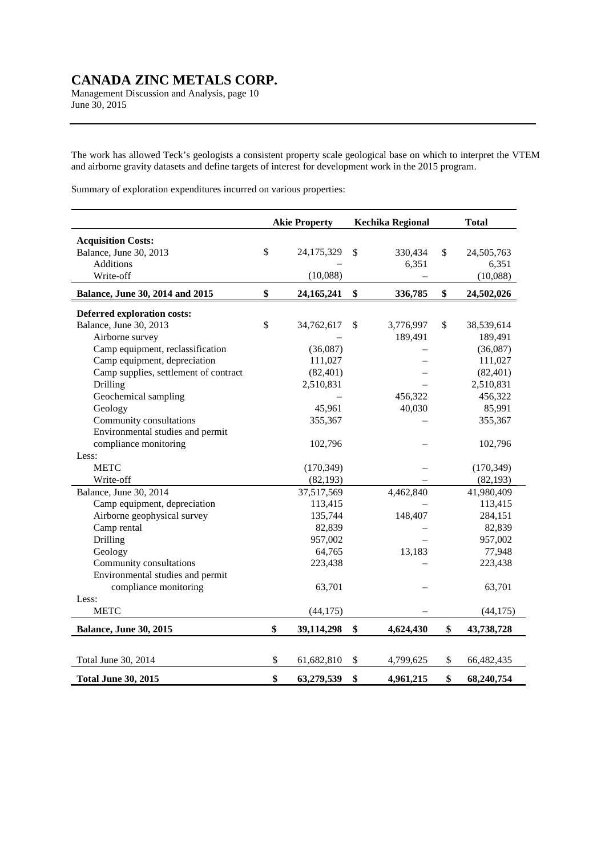Management Discussion and Analysis, page 10 June 30, 2015

The work has allowed Teck's geologists a consistent property scale geological base on which to interpret the VTEM and airborne gravity datasets and define targets of interest for development work in the 2015 program.

Summary of exploration expenditures incurred on various properties:

|                                       | <b>Akie Property</b> | <b>Kechika Regional</b> | <b>Total</b>     |
|---------------------------------------|----------------------|-------------------------|------------------|
| <b>Acquisition Costs:</b>             |                      |                         |                  |
| Balance, June 30, 2013                | \$<br>24,175,329     | \$<br>330,434           | \$<br>24,505,763 |
| <b>Additions</b>                      |                      | 6,351                   | 6,351            |
| Write-off                             | (10,088)             |                         | (10,088)         |
| Balance, June 30, 2014 and 2015       | \$<br>24, 165, 241   | \$<br>336,785           | \$<br>24,502,026 |
| <b>Deferred exploration costs:</b>    |                      |                         |                  |
| Balance, June 30, 2013                | \$<br>34,762,617     | \$<br>3,776,997         | \$<br>38,539,614 |
| Airborne survey                       |                      | 189,491                 | 189,491          |
| Camp equipment, reclassification      | (36,087)             |                         | (36,087)         |
| Camp equipment, depreciation          | 111,027              |                         | 111,027          |
| Camp supplies, settlement of contract | (82, 401)            |                         | (82, 401)        |
| <b>Drilling</b>                       | 2,510,831            |                         | 2,510,831        |
| Geochemical sampling                  |                      | 456,322                 | 456,322          |
| Geology                               | 45,961               | 40,030                  | 85,991           |
| Community consultations               | 355,367              |                         | 355,367          |
| Environmental studies and permit      |                      |                         |                  |
| compliance monitoring                 | 102,796              |                         | 102,796          |
| Less:                                 |                      |                         |                  |
| <b>METC</b>                           | (170, 349)           |                         | (170, 349)       |
| Write-off                             | (82, 193)            |                         | (82, 193)        |
| Balance, June 30, 2014                | 37,517,569           | 4,462,840               | 41,980,409       |
| Camp equipment, depreciation          | 113,415              |                         | 113,415          |
| Airborne geophysical survey           | 135,744              | 148,407                 | 284,151          |
| Camp rental                           | 82,839               |                         | 82,839           |
| Drilling                              | 957,002              |                         | 957,002          |
| Geology                               | 64,765               | 13,183                  | 77,948           |
| Community consultations               | 223,438              |                         | 223,438          |
| Environmental studies and permit      |                      |                         |                  |
| compliance monitoring                 | 63,701               |                         | 63,701           |
| Less:                                 |                      |                         |                  |
| <b>METC</b>                           | (44, 175)            |                         | (44, 175)        |
| <b>Balance, June 30, 2015</b>         | \$<br>39,114,298     | \$<br>4,624,430         | \$<br>43,738,728 |
|                                       |                      |                         |                  |
| Total June 30, 2014                   | \$<br>61,682,810     | \$<br>4,799,625         | \$<br>66,482,435 |
| <b>Total June 30, 2015</b>            | \$<br>63,279,539     | \$<br>4,961,215         | \$<br>68,240,754 |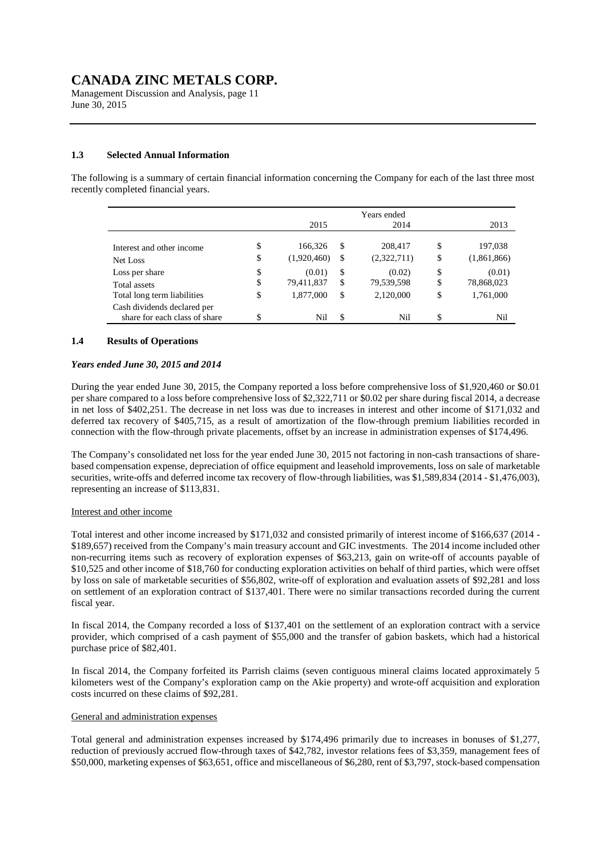Management Discussion and Analysis, page 11 June 30, 2015

### **1.3 Selected Annual Information**

The following is a summary of certain financial information concerning the Company for each of the last three most recently completed financial years.

|                               |                   |    | Years ended |                   |
|-------------------------------|-------------------|----|-------------|-------------------|
|                               | 2015              |    | 2014        | 2013              |
| Interest and other income     | \$<br>166,326     | S  | 208,417     | \$<br>197,038     |
| Net Loss                      | \$<br>(1,920,460) | \$ | (2,322,711) | \$<br>(1,861,866) |
| Loss per share                | \$<br>(0.01)      | \$ | (0.02)      | \$<br>(0.01)      |
| Total assets                  | \$<br>79,411,837  | S  | 79,539,598  | \$<br>78,868,023  |
| Total long term liabilities   | \$<br>1,877,000   | \$ | 2,120,000   | \$<br>1,761,000   |
| Cash dividends declared per   |                   |    |             |                   |
| share for each class of share | \$<br>Nil         | \$ | Nil         | \$<br>Nil         |

#### **1.4 Results of Operations**

### *Years ended June 30, 2015 and 2014*

During the year ended June 30, 2015, the Company reported a loss before comprehensive loss of \$1,920,460 or \$0.01 per share compared to a loss before comprehensive loss of \$2,322,711 or \$0.02 per share during fiscal 2014, a decrease in net loss of \$402,251. The decrease in net loss was due to increases in interest and other income of \$171,032 and deferred tax recovery of \$405,715, as a result of amortization of the flow-through premium liabilities recorded in connection with the flow-through private placements, offset by an increase in administration expenses of \$174,496.

The Company's consolidated net loss for the year ended June 30, 2015 not factoring in non-cash transactions of sharebased compensation expense, depreciation of office equipment and leasehold improvements, loss on sale of marketable securities, write-offs and deferred income tax recovery of flow-through liabilities, was \$1,589,834 (2014 - \$1,476,003), representing an increase of \$113,831.

#### Interest and other income

Total interest and other income increased by \$171,032 and consisted primarily of interest income of \$166,637 (2014 - \$189,657) received from the Company's main treasury account and GIC investments. The 2014 income included other non-recurring items such as recovery of exploration expenses of \$63,213, gain on write-off of accounts payable of \$10,525 and other income of \$18,760 for conducting exploration activities on behalf of third parties, which were offset by loss on sale of marketable securities of \$56,802, write-off of exploration and evaluation assets of \$92,281 and loss on settlement of an exploration contract of \$137,401. There were no similar transactions recorded during the current fiscal year.

In fiscal 2014, the Company recorded a loss of \$137,401 on the settlement of an exploration contract with a service provider, which comprised of a cash payment of \$55,000 and the transfer of gabion baskets, which had a historical purchase price of \$82,401.

In fiscal 2014, the Company forfeited its Parrish claims (seven contiguous mineral claims located approximately 5 kilometers west of the Company's exploration camp on the Akie property) and wrote-off acquisition and exploration costs incurred on these claims of \$92,281.

### General and administration expenses

Total general and administration expenses increased by \$174,496 primarily due to increases in bonuses of \$1,277, reduction of previously accrued flow-through taxes of \$42,782, investor relations fees of \$3,359, management fees of \$50,000, marketing expenses of \$63,651, office and miscellaneous of \$6,280, rent of \$3,797, stock-based compensation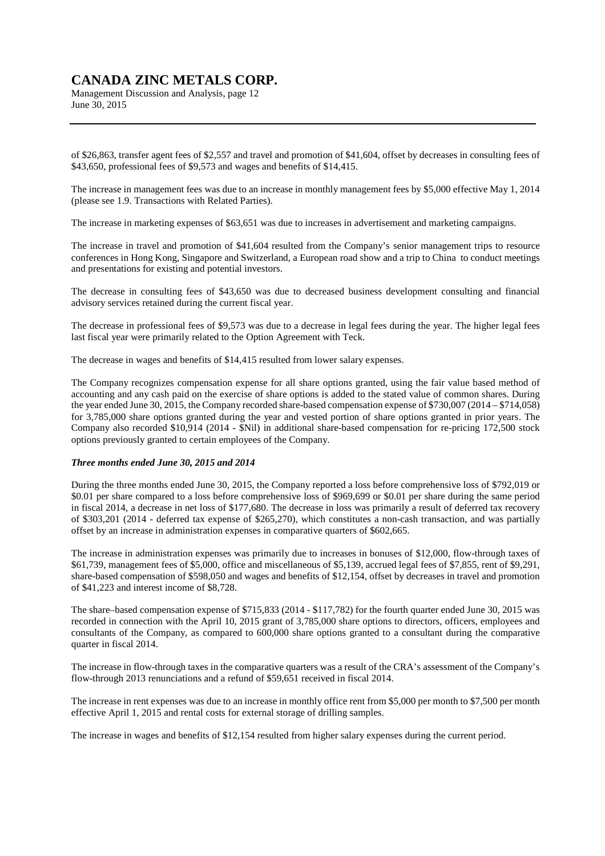Management Discussion and Analysis, page 12 June 30, 2015

of \$26,863, transfer agent fees of \$2,557 and travel and promotion of \$41,604, offset by decreases in consulting fees of \$43,650, professional fees of \$9,573 and wages and benefits of \$14,415.

The increase in management fees was due to an increase in monthly management fees by \$5,000 effective May 1, 2014 (please see 1.9. Transactions with Related Parties).

The increase in marketing expenses of \$63,651 was due to increases in advertisement and marketing campaigns.

The increase in travel and promotion of \$41,604 resulted from the Company's senior management trips to resource conferences in Hong Kong, Singapore and Switzerland, a European road show and a trip to China to conduct meetings and presentations for existing and potential investors.

The decrease in consulting fees of \$43,650 was due to decreased business development consulting and financial advisory services retained during the current fiscal year.

The decrease in professional fees of \$9,573 was due to a decrease in legal fees during the year. The higher legal fees last fiscal year were primarily related to the Option Agreement with Teck.

The decrease in wages and benefits of \$14,415 resulted from lower salary expenses.

The Company recognizes compensation expense for all share options granted, using the fair value based method of accounting and any cash paid on the exercise of share options is added to the stated value of common shares. During the year ended June 30, 2015, the Company recorded share-based compensation expense of \$730,007 (2014 – \$714,058) for 3,785,000 share options granted during the year and vested portion of share options granted in prior years. The Company also recorded \$10,914 (2014 - \$Nil) in additional share-based compensation for re-pricing 172,500 stock options previously granted to certain employees of the Company.

### *Three months ended June 30, 2015 and 2014*

During the three months ended June 30, 2015, the Company reported a loss before comprehensive loss of \$792,019 or \$0.01 per share compared to a loss before comprehensive loss of \$969,699 or \$0.01 per share during the same period in fiscal 2014, a decrease in net loss of \$177,680. The decrease in loss was primarily a result of deferred tax recovery of \$303,201 (2014 - deferred tax expense of \$265,270), which constitutes a non-cash transaction, and was partially offset by an increase in administration expenses in comparative quarters of \$602,665.

The increase in administration expenses was primarily due to increases in bonuses of \$12,000, flow-through taxes of \$61,739, management fees of \$5,000, office and miscellaneous of \$5,139, accrued legal fees of \$7,855, rent of \$9,291, share-based compensation of \$598,050 and wages and benefits of \$12,154, offset by decreases in travel and promotion of \$41,223 and interest income of \$8,728.

The share–based compensation expense of \$715,833 (2014 - \$117,782) for the fourth quarter ended June 30, 2015 was recorded in connection with the April 10, 2015 grant of 3,785,000 share options to directors, officers, employees and consultants of the Company, as compared to 600,000 share options granted to a consultant during the comparative quarter in fiscal 2014.

The increase in flow-through taxes in the comparative quarters was a result of the CRA's assessment of the Company's flow-through 2013 renunciations and a refund of \$59,651 received in fiscal 2014.

The increase in rent expenses was due to an increase in monthly office rent from \$5,000 per month to \$7,500 per month effective April 1, 2015 and rental costs for external storage of drilling samples.

The increase in wages and benefits of \$12,154 resulted from higher salary expenses during the current period.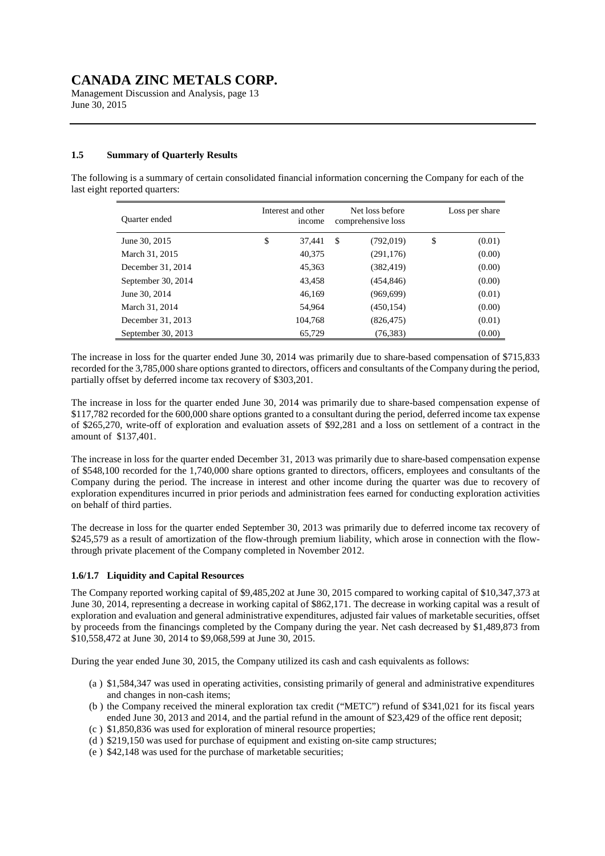Management Discussion and Analysis, page 13 June 30, 2015

### **1.5 Summary of Quarterly Results**

The following is a summary of certain consolidated financial information concerning the Company for each of the last eight reported quarters:

| Quarter ended      | Interest and other<br>income |              | Net loss before<br>comprehensive loss | Loss per share |
|--------------------|------------------------------|--------------|---------------------------------------|----------------|
| June 30, 2015      | \$<br>37.441                 | $\mathbb{S}$ | (792, 019)                            | \$<br>(0.01)   |
| March 31, 2015     | 40,375                       |              | (291, 176)                            | (0.00)         |
| December 31, 2014  | 45,363                       |              | (382, 419)                            | (0.00)         |
| September 30, 2014 | 43,458                       |              | (454, 846)                            | (0.00)         |
| June 30, 2014      | 46,169                       |              | (969, 699)                            | (0.01)         |
| March 31, 2014     | 54.964                       |              | (450, 154)                            | (0.00)         |
| December 31, 2013  | 104,768                      |              | (826, 475)                            | (0.01)         |
| September 30, 2013 | 65,729                       |              | (76, 383)                             | (0.00)         |

The increase in loss for the quarter ended June 30, 2014 was primarily due to share-based compensation of \$715,833 recorded for the 3,785,000 share options granted to directors, officers and consultants of the Company during the period, partially offset by deferred income tax recovery of \$303,201.

The increase in loss for the quarter ended June 30, 2014 was primarily due to share-based compensation expense of \$117,782 recorded for the 600,000 share options granted to a consultant during the period, deferred income tax expense of \$265,270, write-off of exploration and evaluation assets of \$92,281 and a loss on settlement of a contract in the amount of \$137,401.

The increase in loss for the quarter ended December 31, 2013 was primarily due to share-based compensation expense of \$548,100 recorded for the 1,740,000 share options granted to directors, officers, employees and consultants of the Company during the period. The increase in interest and other income during the quarter was due to recovery of exploration expenditures incurred in prior periods and administration fees earned for conducting exploration activities on behalf of third parties.

The decrease in loss for the quarter ended September 30, 2013 was primarily due to deferred income tax recovery of \$245,579 as a result of amortization of the flow-through premium liability, which arose in connection with the flowthrough private placement of the Company completed in November 2012.

### **1.6/1.7 Liquidity and Capital Resources**

The Company reported working capital of \$9,485,202 at June 30, 2015 compared to working capital of \$10,347,373 at June 30, 2014, representing a decrease in working capital of \$862,171. The decrease in working capital was a result of exploration and evaluation and general administrative expenditures, adjusted fair values of marketable securities, offset by proceeds from the financings completed by the Company during the year. Net cash decreased by \$1,489,873 from \$10,558,472 at June 30, 2014 to \$9,068,599 at June 30, 2015.

During the year ended June 30, 2015, the Company utilized its cash and cash equivalents as follows:

- (a ) \$1,584,347 was used in operating activities, consisting primarily of general and administrative expenditures and changes in non-cash items;
- (b ) the Company received the mineral exploration tax credit ("METC") refund of \$341,021 for its fiscal years ended June 30, 2013 and 2014, and the partial refund in the amount of \$23,429 of the office rent deposit;
- (c ) \$1,850,836 was used for exploration of mineral resource properties;
- (d ) \$219,150 was used for purchase of equipment and existing on-site camp structures;
- (e ) \$42,148 was used for the purchase of marketable securities;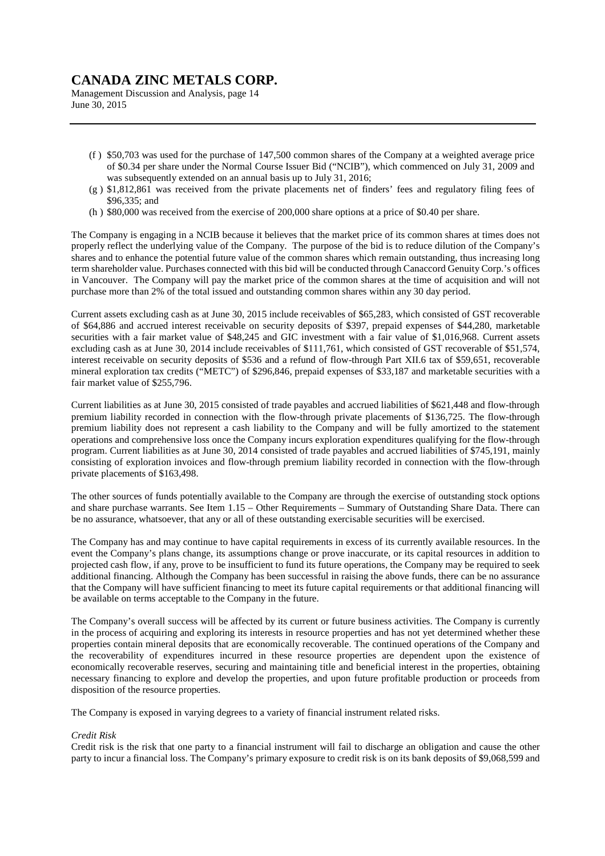Management Discussion and Analysis, page 14 June 30, 2015

- (f ) \$50,703 was used for the purchase of 147,500 common shares of the Company at a weighted average price of \$0.34 per share under the Normal Course Issuer Bid ("NCIB"), which commenced on July 31, 2009 and was subsequently extended on an annual basis up to July 31, 2016;
- (g ) \$1,812,861 was received from the private placements net of finders' fees and regulatory filing fees of \$96,335; and
- (h ) \$80,000 was received from the exercise of 200,000 share options at a price of \$0.40 per share.

The Company is engaging in a NCIB because it believes that the market price of its common shares at times does not properly reflect the underlying value of the Company. The purpose of the bid is to reduce dilution of the Company's shares and to enhance the potential future value of the common shares which remain outstanding, thus increasing long term shareholder value. Purchases connected with this bid will be conducted through Canaccord Genuity Corp.'s offices in Vancouver. The Company will pay the market price of the common shares at the time of acquisition and will not purchase more than 2% of the total issued and outstanding common shares within any 30 day period.

Current assets excluding cash as at June 30, 2015 include receivables of \$65,283, which consisted of GST recoverable of \$64,886 and accrued interest receivable on security deposits of \$397, prepaid expenses of \$44,280, marketable securities with a fair market value of \$48,245 and GIC investment with a fair value of \$1,016,968. Current assets excluding cash as at June 30, 2014 include receivables of \$111,761, which consisted of GST recoverable of \$51,574, interest receivable on security deposits of \$536 and a refund of flow-through Part XII.6 tax of \$59,651, recoverable mineral exploration tax credits ("METC") of \$296,846, prepaid expenses of \$33,187 and marketable securities with a fair market value of \$255,796.

Current liabilities as at June 30, 2015 consisted of trade payables and accrued liabilities of \$621,448 and flow-through premium liability recorded in connection with the flow-through private placements of \$136,725. The flow-through premium liability does not represent a cash liability to the Company and will be fully amortized to the statement operations and comprehensive loss once the Company incurs exploration expenditures qualifying for the flow-through program. Current liabilities as at June 30, 2014 consisted of trade payables and accrued liabilities of \$745,191, mainly consisting of exploration invoices and flow-through premium liability recorded in connection with the flow-through private placements of \$163,498.

The other sources of funds potentially available to the Company are through the exercise of outstanding stock options and share purchase warrants. See Item 1.15 – Other Requirements – Summary of Outstanding Share Data. There can be no assurance, whatsoever, that any or all of these outstanding exercisable securities will be exercised.

The Company has and may continue to have capital requirements in excess of its currently available resources. In the event the Company's plans change, its assumptions change or prove inaccurate, or its capital resources in addition to projected cash flow, if any, prove to be insufficient to fund its future operations, the Company may be required to seek additional financing. Although the Company has been successful in raising the above funds, there can be no assurance that the Company will have sufficient financing to meet its future capital requirements or that additional financing will be available on terms acceptable to the Company in the future.

The Company's overall success will be affected by its current or future business activities. The Company is currently in the process of acquiring and exploring its interests in resource properties and has not yet determined whether these properties contain mineral deposits that are economically recoverable. The continued operations of the Company and the recoverability of expenditures incurred in these resource properties are dependent upon the existence of economically recoverable reserves, securing and maintaining title and beneficial interest in the properties, obtaining necessary financing to explore and develop the properties, and upon future profitable production or proceeds from disposition of the resource properties.

The Company is exposed in varying degrees to a variety of financial instrument related risks.

#### *Credit Risk*

Credit risk is the risk that one party to a financial instrument will fail to discharge an obligation and cause the other party to incur a financial loss. The Company's primary exposure to credit risk is on its bank deposits of \$9,068,599 and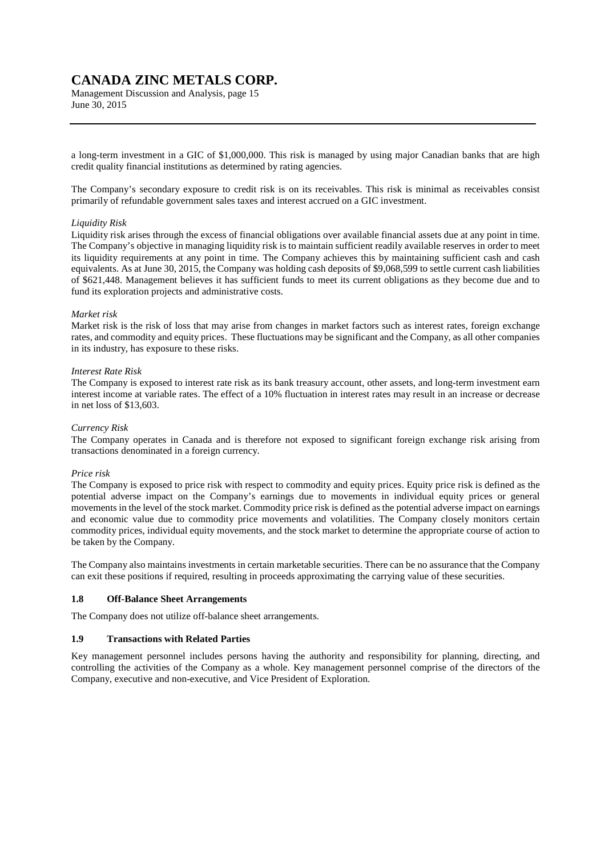Management Discussion and Analysis, page 15 June 30, 2015

a long-term investment in a GIC of \$1,000,000. This risk is managed by using major Canadian banks that are high credit quality financial institutions as determined by rating agencies.

The Company's secondary exposure to credit risk is on its receivables. This risk is minimal as receivables consist primarily of refundable government sales taxes and interest accrued on a GIC investment.

#### *Liquidity Risk*

Liquidity risk arises through the excess of financial obligations over available financial assets due at any point in time. The Company's objective in managing liquidity risk is to maintain sufficient readily available reserves in order to meet its liquidity requirements at any point in time. The Company achieves this by maintaining sufficient cash and cash equivalents. As at June 30, 2015, the Company was holding cash deposits of \$9,068,599 to settle current cash liabilities of \$621,448. Management believes it has sufficient funds to meet its current obligations as they become due and to fund its exploration projects and administrative costs.

#### *Market risk*

Market risk is the risk of loss that may arise from changes in market factors such as interest rates, foreign exchange rates, and commodity and equity prices. These fluctuations may be significant and the Company, as all other companies in its industry, has exposure to these risks.

#### *Interest Rate Risk*

The Company is exposed to interest rate risk as its bank treasury account, other assets, and long-term investment earn interest income at variable rates. The effect of a 10% fluctuation in interest rates may result in an increase or decrease in net loss of \$13,603.

### *Currency Risk*

The Company operates in Canada and is therefore not exposed to significant foreign exchange risk arising from transactions denominated in a foreign currency.

#### *Price risk*

The Company is exposed to price risk with respect to commodity and equity prices. Equity price risk is defined as the potential adverse impact on the Company's earnings due to movements in individual equity prices or general movements in the level of the stock market. Commodity price risk is defined as the potential adverse impact on earnings and economic value due to commodity price movements and volatilities. The Company closely monitors certain commodity prices, individual equity movements, and the stock market to determine the appropriate course of action to be taken by the Company.

The Company also maintains investments in certain marketable securities. There can be no assurance that the Company can exit these positions if required, resulting in proceeds approximating the carrying value of these securities.

#### **1.8 Off-Balance Sheet Arrangements**

The Company does not utilize off-balance sheet arrangements.

#### **1.9 Transactions with Related Parties**

Key management personnel includes persons having the authority and responsibility for planning, directing, and controlling the activities of the Company as a whole. Key management personnel comprise of the directors of the Company, executive and non-executive, and Vice President of Exploration.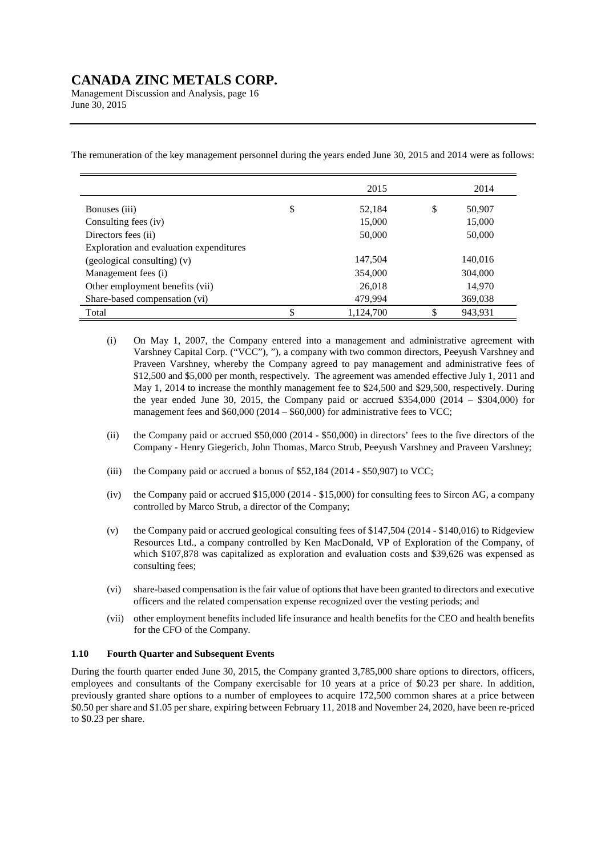Management Discussion and Analysis, page 16 June 30, 2015

The remuneration of the key management personnel during the years ended June 30, 2015 and 2014 were as follows:

|                                         | 2015            |    | 2014    |
|-----------------------------------------|-----------------|----|---------|
| Bonuses (iii)                           | \$<br>52,184    | \$ | 50,907  |
| Consulting fees (iv)                    | 15,000          |    | 15,000  |
| Directors fees (ii)                     | 50,000          |    | 50,000  |
| Exploration and evaluation expenditures |                 |    |         |
| (geological consulting) (v)             | 147,504         |    | 140,016 |
| Management fees (i)                     | 354,000         |    | 304,000 |
| Other employment benefits (vii)         | 26,018          |    | 14,970  |
| Share-based compensation (vi)           | 479,994         |    | 369,038 |
| Total                                   | \$<br>1.124.700 | S  | 943.931 |

- (i) On May 1, 2007, the Company entered into a management and administrative agreement with Varshney Capital Corp. ("VCC"), "), a company with two common directors, Peeyush Varshney and Praveen Varshney, whereby the Company agreed to pay management and administrative fees of \$12,500 and \$5,000 per month, respectively. The agreement was amended effective July 1, 2011 and May 1, 2014 to increase the monthly management fee to \$24,500 and \$29,500, respectively. During the year ended June 30, 2015, the Company paid or accrued  $$354,000$  (2014 – \$304,000) for management fees and \$60,000 (2014 – \$60,000) for administrative fees to VCC;
- (ii) the Company paid or accrued \$50,000 (2014 \$50,000) in directors' fees to the five directors of the Company - Henry Giegerich, John Thomas, Marco Strub, Peeyush Varshney and Praveen Varshney;
- (iii) the Company paid or accrued a bonus of \$52,184 (2014 \$50,907) to VCC;
- (iv) the Company paid or accrued \$15,000 (2014 \$15,000) for consulting fees to Sircon AG, a company controlled by Marco Strub, a director of the Company;
- (v) the Company paid or accrued geological consulting fees of \$147,504 (2014 \$140,016) to Ridgeview Resources Ltd., a company controlled by Ken MacDonald, VP of Exploration of the Company, of which \$107,878 was capitalized as exploration and evaluation costs and \$39,626 was expensed as consulting fees;
- (vi) share-based compensation is the fair value of options that have been granted to directors and executive officers and the related compensation expense recognized over the vesting periods; and
- (vii) other employment benefits included life insurance and health benefits for the CEO and health benefits for the CFO of the Company.

### **1.10 Fourth Quarter and Subsequent Events**

During the fourth quarter ended June 30, 2015, the Company granted 3,785,000 share options to directors, officers, employees and consultants of the Company exercisable for 10 years at a price of \$0.23 per share. In addition, previously granted share options to a number of employees to acquire 172,500 common shares at a price between \$0.50 per share and \$1.05 per share, expiring between February 11, 2018 and November 24, 2020, have been re-priced to \$0.23 per share.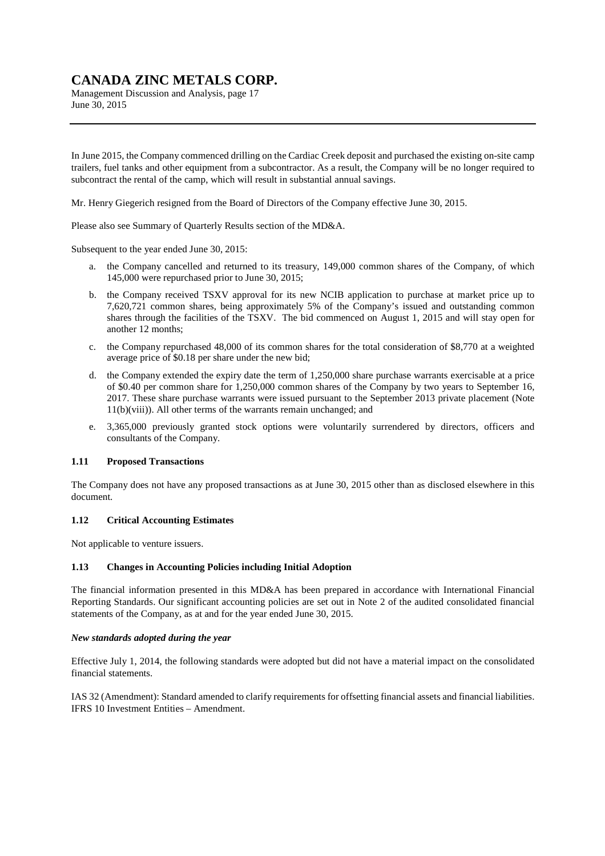Management Discussion and Analysis, page 17 June 30, 2015

In June 2015, the Company commenced drilling on the Cardiac Creek deposit and purchased the existing on-site camp trailers, fuel tanks and other equipment from a subcontractor. As a result, the Company will be no longer required to subcontract the rental of the camp, which will result in substantial annual savings.

Mr. Henry Giegerich resigned from the Board of Directors of the Company effective June 30, 2015.

Please also see Summary of Quarterly Results section of the MD&A.

Subsequent to the year ended June 30, 2015:

- a. the Company cancelled and returned to its treasury, 149,000 common shares of the Company, of which 145,000 were repurchased prior to June 30, 2015;
- b. the Company received TSXV approval for its new NCIB application to purchase at market price up to 7,620,721 common shares, being approximately 5% of the Company's issued and outstanding common shares through the facilities of the TSXV. The bid commenced on August 1, 2015 and will stay open for another 12 months;
- c. the Company repurchased 48,000 of its common shares for the total consideration of \$8,770 at a weighted average price of \$0.18 per share under the new bid;
- d. the Company extended the expiry date the term of 1,250,000 share purchase warrants exercisable at a price of \$0.40 per common share for 1,250,000 common shares of the Company by two years to September 16, 2017. These share purchase warrants were issued pursuant to the September 2013 private placement (Note 11(b)(viii)). All other terms of the warrants remain unchanged; and
- e. 3,365,000 previously granted stock options were voluntarily surrendered by directors, officers and consultants of the Company.

#### **1.11 Proposed Transactions**

The Company does not have any proposed transactions as at June 30, 2015 other than as disclosed elsewhere in this document.

### **1.12 Critical Accounting Estimates**

Not applicable to venture issuers.

### **1.13 Changes in Accounting Policies including Initial Adoption**

The financial information presented in this MD&A has been prepared in accordance with International Financial Reporting Standards. Our significant accounting policies are set out in Note 2 of the audited consolidated financial statements of the Company, as at and for the year ended June 30, 2015.

#### *New standards adopted during the year*

Effective July 1, 2014, the following standards were adopted but did not have a material impact on the consolidated financial statements.

IAS 32 (Amendment): Standard amended to clarify requirements for offsetting financial assets and financial liabilities. IFRS 10 Investment Entities – Amendment.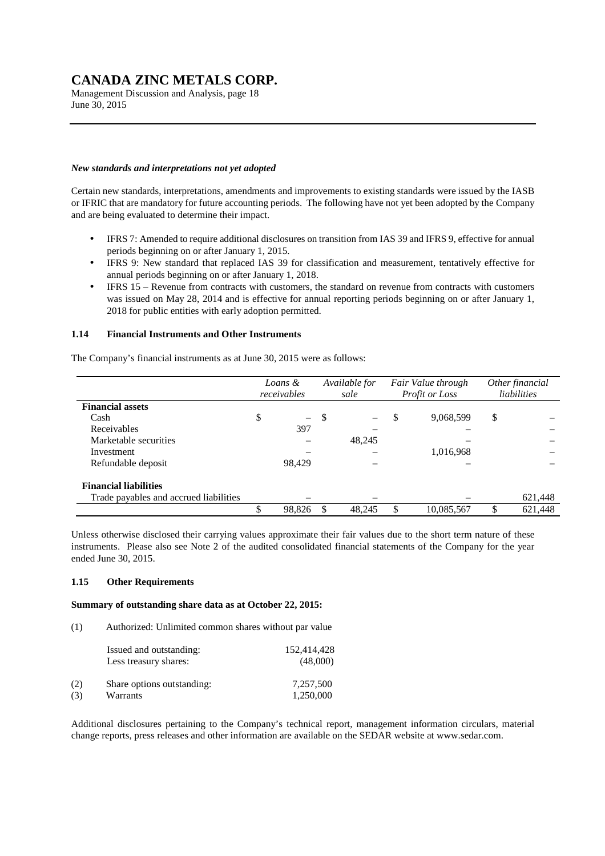Management Discussion and Analysis, page 18 June 30, 2015

### *New standards and interpretations not yet adopted*

Certain new standards, interpretations, amendments and improvements to existing standards were issued by the IASB or IFRIC that are mandatory for future accounting periods. The following have not yet been adopted by the Company and are being evaluated to determine their impact.

- IFRS 7: Amended to require additional disclosures on transition from IAS 39 and IFRS 9, effective for annual periods beginning on or after January 1, 2015.
- IFRS 9: New standard that replaced IAS 39 for classification and measurement, tentatively effective for annual periods beginning on or after January 1, 2018.
- IFRS 15 Revenue from contracts with customers, the standard on revenue from contracts with customers was issued on May 28, 2014 and is effective for annual reporting periods beginning on or after January 1, 2018 for public entities with early adoption permitted.

### **1.14 Financial Instruments and Other Instruments**

The Company's financial instruments as at June 30, 2015 were as follows:

|                                        | Available for<br>Loans &<br>receivables<br>sale |        | Fair Value through<br>Profit or Loss |        | Other financial<br>liabilities |    |         |
|----------------------------------------|-------------------------------------------------|--------|--------------------------------------|--------|--------------------------------|----|---------|
| <b>Financial assets</b>                |                                                 |        |                                      |        |                                |    |         |
| Cash                                   | \$                                              | $-$    | \$                                   |        | \$<br>9,068,599                | \$ |         |
| Receivables                            |                                                 | 397    |                                      |        |                                |    |         |
| Marketable securities                  |                                                 |        |                                      | 48,245 |                                |    |         |
| Investment                             |                                                 |        |                                      |        | 1,016,968                      |    |         |
| Refundable deposit                     |                                                 | 98.429 |                                      |        |                                |    |         |
| <b>Financial liabilities</b>           |                                                 |        |                                      |        |                                |    |         |
| Trade payables and accrued liabilities |                                                 |        |                                      |        |                                |    | 621,448 |
|                                        | ፍ                                               | 98,826 | £.                                   | 48,245 | 10,085,567                     | S. | 621,448 |

Unless otherwise disclosed their carrying values approximate their fair values due to the short term nature of these instruments. Please also see Note 2 of the audited consolidated financial statements of the Company for the year ended June 30, 2015.

#### **1.15 Other Requirements**

#### **Summary of outstanding share data as at October 22, 2015:**

(1) Authorized: Unlimited common shares without par value

|     | Issued and outstanding:<br>Less treasury shares: | 152,414,428<br>(48,000) |
|-----|--------------------------------------------------|-------------------------|
| (2) | Share options outstanding:                       | 7.257.500               |
| (3) | Warrants                                         | 1.250,000               |

Additional disclosures pertaining to the Company's technical report, management information circulars, material change reports, press releases and other information are available on the SEDAR website at www.sedar.com.